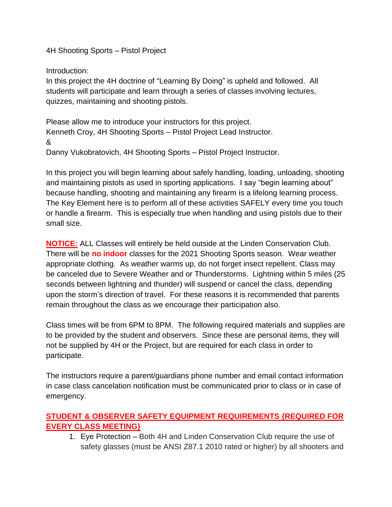4H Shooting Sports – Pistol Project

Introduction:

In this project the 4H doctrine of "Learning By Doing" is upheld and followed. All students will participate and learn through a series of classes involving lectures, quizzes, maintaining and shooting pistols.

Please allow me to introduce your instructors for this project. Kenneth Croy, 4H Shooting Sports – Pistol Project Lead Instructor. & Danny Vukobratovich, 4H Shooting Sports – Pistol Project Instructor.

In this project you will begin learning about safely handling, loading, unloading, shooting and maintaining pistols as used in sporting applications. I say "begin learning about" because handling, shooting and maintaining any firearm is a lifelong learning process. The Key Element here is to perform all of these activities SAFELY every time you touch or handle a firearm. This is especially true when handling and using pistols due to their small size.

**NOTICE:** ALL Classes will entirely be held outside at the Linden Conservation Club. There will be **no indoor** classes for the 2021 Shooting Sports season. Wear weather appropriate clothing. As weather warms up, do not forget insect repellent. Class may be canceled due to Severe Weather and or Thunderstorms. Lightning within 5 miles (25 seconds between lightning and thunder) will suspend or cancel the class, depending upon the storm's direction of travel. For these reasons it is recommended that parents remain throughout the class as we encourage their participation also.

Class times will be from 6PM to 8PM. The following required materials and supplies are to be provided by the student and observers. Since these are personal items, they will not be supplied by 4H or the Project, but are required for each class in order to participate.

The instructors require a parent/guardians phone number and email contact information in case class cancelation notification must be communicated prior to class or in case of emergency.

## **STUDENT & OBSERVER SAFETY EQUIPMENT REQUIREMENTS {REQUIRED FOR EVERY CLASS MEETING}**

1. Eye Protection – Both 4H and Linden Conservation Club require the use of safety glasses (must be ANSI Z87.1 2010 rated or higher) by all shooters and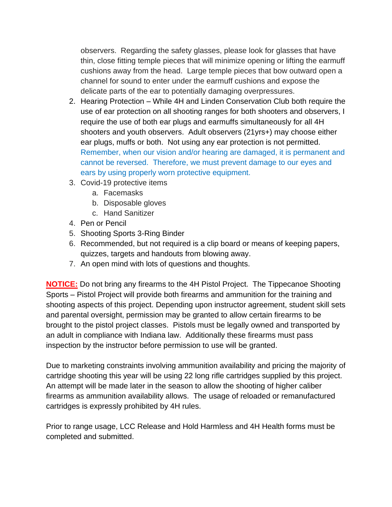observers. Regarding the safety glasses, please look for glasses that have thin, close fitting temple pieces that will minimize opening or lifting the earmuff cushions away from the head. Large temple pieces that bow outward open a channel for sound to enter under the earmuff cushions and expose the delicate parts of the ear to potentially damaging overpressures.

- 2. Hearing Protection While 4H and Linden Conservation Club both require the use of ear protection on all shooting ranges for both shooters and observers, I require the use of both ear plugs and earmuffs simultaneously for all 4H shooters and youth observers. Adult observers (21yrs+) may choose either ear plugs, muffs or both. Not using any ear protection is not permitted. Remember, when our vision and/or hearing are damaged, it is permanent and cannot be reversed. Therefore, we must prevent damage to our eyes and ears by using properly worn protective equipment.
- 3. Covid-19 protective items
	- a. Facemasks
	- b. Disposable gloves
	- c. Hand Sanitizer
- 4. Pen or Pencil
- 5. Shooting Sports 3-Ring Binder
- 6. Recommended, but not required is a clip board or means of keeping papers, quizzes, targets and handouts from blowing away.
- 7. An open mind with lots of questions and thoughts.

**NOTICE:** Do not bring any firearms to the 4H Pistol Project. The Tippecanoe Shooting Sports – Pistol Project will provide both firearms and ammunition for the training and shooting aspects of this project. Depending upon instructor agreement, student skill sets and parental oversight, permission may be granted to allow certain firearms to be brought to the pistol project classes. Pistols must be legally owned and transported by an adult in compliance with Indiana law. Additionally these firearms must pass inspection by the instructor before permission to use will be granted.

Due to marketing constraints involving ammunition availability and pricing the majority of cartridge shooting this year will be using 22 long rifle cartridges supplied by this project. An attempt will be made later in the season to allow the shooting of higher caliber firearms as ammunition availability allows. The usage of reloaded or remanufactured cartridges is expressly prohibited by 4H rules.

Prior to range usage, LCC Release and Hold Harmless and 4H Health forms must be completed and submitted.